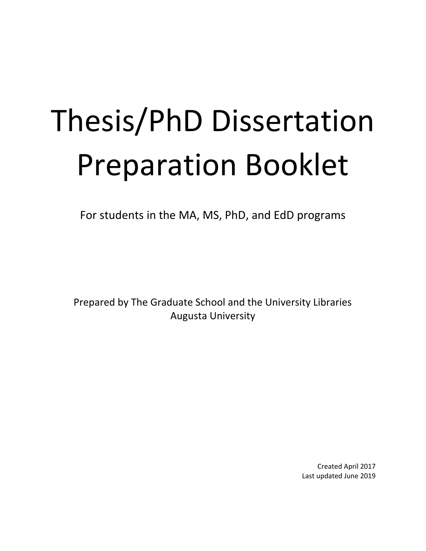# Thesis/PhD Dissertation Preparation Booklet

For students in the MA, MS, PhD, and EdD programs

Prepared by The Graduate School and the University Libraries Augusta University

> Created April 2017 Last updated June 2019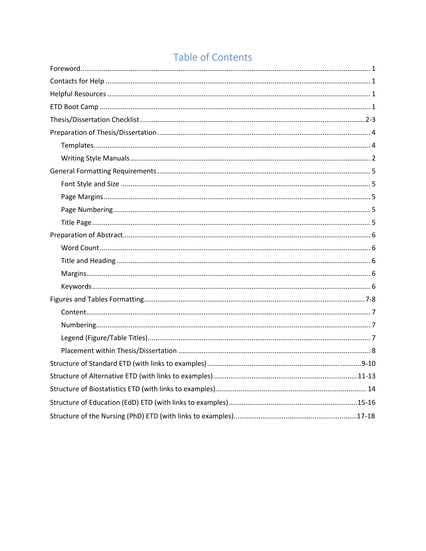## Table of Contents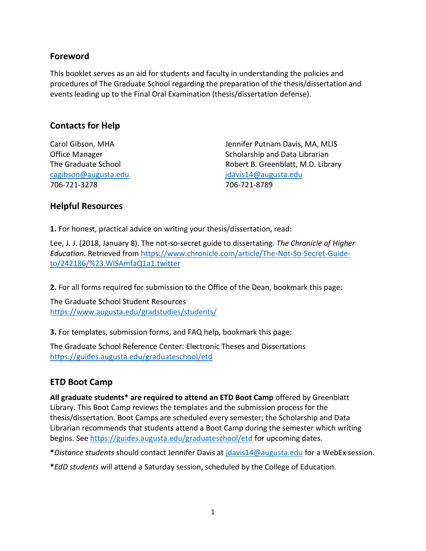## **Foreword**

This booklet serves as an aid for students and faculty in understanding the policies and procedures of The Graduate School regarding the preparation of the thesis/dissertation and events leading up to the Final Oral Examination (thesis/dissertation defense).

## **Contacts for Help**

[cagibson@augusta.edu](mailto:cagibson@augusta.edu) [jdavis14@augusta.edu](mailto:jdavis14@augusta.edu) 706-721-3278 706-721-8789

Carol Gibson, MHA Jennifer Putnam Davis, MA, MLIS Office Manager **Scholarship and Data Librarian** Scholarship and Data Librarian The Graduate School **Robert B. Greenblatt, M.D. Library** 

## **Helpful Resources**

**1.** For honest, practical advice on writing your thesis/dissertation, read:

Lee, J. J. (2018, January 8). The not-so-secret guide to dissertating. *The Chronicle of Higher Education*. Retrieved from [https://www.chronicle.com/article/The-Not-So-Secret-Guide](https://www.chronicle.com/article/The-Not-So-Secret-Guide-to/242186/%23.WlSAmfaQ1a1.twitter)[to/242186/%23.WlSAmfaQ1a1.twitter](https://www.chronicle.com/article/The-Not-So-Secret-Guide-to/242186/%23.WlSAmfaQ1a1.twitter)

**2.** For all forms required for submission to the Office of the Dean, bookmark this page:

The Graduate School Student Resources <https://www.augusta.edu/gradstudies/students/>

**3.** For templates, submission forms, and FAQ help, bookmark this page:

The Graduate School Reference Center: Electronic Theses and Dissertations <https://guides.augusta.edu/graduateschool/etd>

## **ETD Boot Camp**

**All graduate students\* are required to attend an ETD Boot Camp** offered by Greenblatt Library. This Boot Camp reviews the templates and the submission process for the thesis/dissertation. Boot Camps are scheduled every semester; the Scholarship and Data Librarian recommends that students attend a Boot Camp during the semester which writing begins. See<https://guides.augusta.edu/graduateschool/etd> for upcoming dates.

**\****Distance students* should contact Jennifer Davis at [jdavis14@augusta.edu](mailto:jdavis14@augusta.edu) for a WebEx session.

**\****EdD students* will attend a Saturday session, scheduled by the College of Education.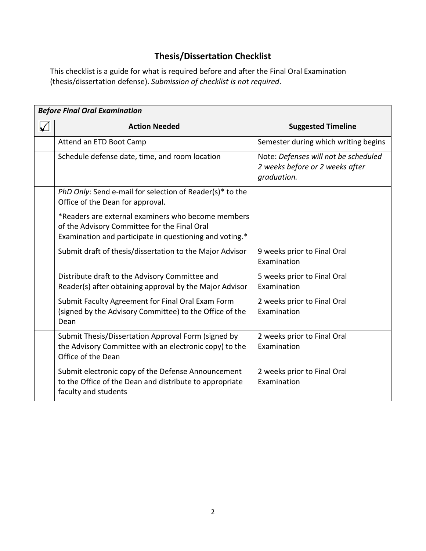## **Thesis/Dissertation Checklist**

This checklist is a guide for what is required before and after the Final Oral Examination (thesis/dissertation defense). *Submission of checklist is not required*.

| <b>Before Final Oral Examination</b> |                                                                                                                                                               |                                                                                        |  |  |
|--------------------------------------|---------------------------------------------------------------------------------------------------------------------------------------------------------------|----------------------------------------------------------------------------------------|--|--|
| V                                    | <b>Action Needed</b>                                                                                                                                          | <b>Suggested Timeline</b>                                                              |  |  |
|                                      | Attend an ETD Boot Camp                                                                                                                                       | Semester during which writing begins                                                   |  |  |
|                                      | Schedule defense date, time, and room location                                                                                                                | Note: Defenses will not be scheduled<br>2 weeks before or 2 weeks after<br>graduation. |  |  |
|                                      | PhD Only: Send e-mail for selection of Reader(s)* to the<br>Office of the Dean for approval.                                                                  |                                                                                        |  |  |
|                                      | *Readers are external examiners who become members<br>of the Advisory Committee for the Final Oral<br>Examination and participate in questioning and voting.* |                                                                                        |  |  |
|                                      | Submit draft of thesis/dissertation to the Major Advisor                                                                                                      | 9 weeks prior to Final Oral<br>Examination                                             |  |  |
|                                      | Distribute draft to the Advisory Committee and<br>Reader(s) after obtaining approval by the Major Advisor                                                     | 5 weeks prior to Final Oral<br>Examination                                             |  |  |
|                                      | Submit Faculty Agreement for Final Oral Exam Form<br>(signed by the Advisory Committee) to the Office of the<br>Dean                                          | 2 weeks prior to Final Oral<br>Examination                                             |  |  |
|                                      | Submit Thesis/Dissertation Approval Form (signed by<br>the Advisory Committee with an electronic copy) to the<br>Office of the Dean                           | 2 weeks prior to Final Oral<br>Examination                                             |  |  |
|                                      | Submit electronic copy of the Defense Announcement<br>to the Office of the Dean and distribute to appropriate<br>faculty and students                         | 2 weeks prior to Final Oral<br>Examination                                             |  |  |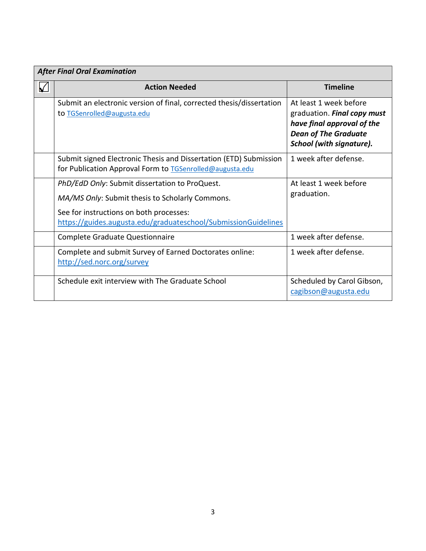| <b>After Final Oral Examination</b> |                                                                                                                                                                                                                |                                                                                                                                                |  |  |
|-------------------------------------|----------------------------------------------------------------------------------------------------------------------------------------------------------------------------------------------------------------|------------------------------------------------------------------------------------------------------------------------------------------------|--|--|
| ᡌ                                   | <b>Action Needed</b>                                                                                                                                                                                           | <b>Timeline</b>                                                                                                                                |  |  |
|                                     | Submit an electronic version of final, corrected thesis/dissertation<br>to TGSenrolled@augusta.edu                                                                                                             | At least 1 week before<br>graduation. Final copy must<br>have final approval of the<br><b>Dean of The Graduate</b><br>School (with signature). |  |  |
|                                     | Submit signed Electronic Thesis and Dissertation (ETD) Submission<br>for Publication Approval Form to TGSenrolled@augusta.edu                                                                                  | 1 week after defense.                                                                                                                          |  |  |
|                                     | PhD/EdD Only: Submit dissertation to ProQuest.<br>MA/MS Only: Submit thesis to Scholarly Commons.<br>See for instructions on both processes:<br>https://guides.augusta.edu/graduateschool/SubmissionGuidelines | At least 1 week before<br>graduation.                                                                                                          |  |  |
|                                     | Complete Graduate Questionnaire                                                                                                                                                                                | 1 week after defense.                                                                                                                          |  |  |
|                                     | Complete and submit Survey of Earned Doctorates online:<br>http://sed.norc.org/survey                                                                                                                          | 1 week after defense.                                                                                                                          |  |  |
|                                     | Schedule exit interview with The Graduate School                                                                                                                                                               | Scheduled by Carol Gibson,<br>cagibson@augusta.edu                                                                                             |  |  |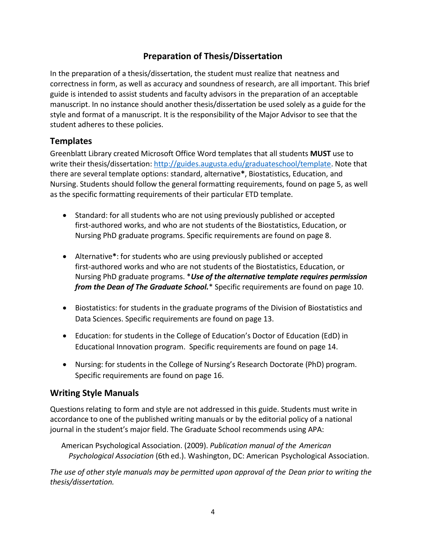## **Preparation of Thesis/Dissertation**

In the preparation of a thesis/dissertation, the student must realize that neatness and correctness in form, as well as accuracy and soundness of research, are all important. This brief guide is intended to assist students and faculty advisors in the preparation of an acceptable manuscript. In no instance should another thesis/dissertation be used solely as a guide for the style and format of a manuscript. It is the responsibility of the Major Advisor to see that the student adheres to these policies.

## **Templates**

Greenblatt Library created Microsoft Office Word templates that all students **MUST** use to write their thesis/dissertation: [http://guides.augusta.edu/graduateschool/template.](http://guides.augusta.edu/graduateschool/template) Note that there are several template options: standard, alternative**\***, Biostatistics, Education, and Nursing. Students should follow the general formatting requirements, found on page 5, as well as the specific formatting requirements of their particular ETD template.

- Standard: for all students who are not using previously published or accepted first-authored works, and who are not students of the Biostatistics, Education, or Nursing PhD graduate programs. Specific requirements are found on page 8.
- Alternative**\***: for students who are using previously published or accepted first-authored works and who are not students of the Biostatistics, Education, or Nursing PhD graduate programs. \**Use of the alternative template requires permission from the Dean of The Graduate School.*\* Specific requirements are found on page 10.
- Biostatistics: for students in the graduate programs of the Division of Biostatistics and Data Sciences. Specific requirements are found on page 13.
- Education: for students in the College of Education's Doctor of Education (EdD) in Educational Innovation program. Specific requirements are found on page 14.
- Nursing: for students in the College of Nursing's Research Doctorate (PhD) program. Specific requirements are found on page 16.

## **Writing Style Manuals**

Questions relating to form and style are not addressed in this guide. Students must write in accordance to one of the published writing manuals or by the editorial policy of a national journal in the student's major field. The Graduate School recommends using APA:

 American Psychological Association. (2009). *Publication manual of the American Psychological Association* (6th ed.). Washington, DC: American Psychological Association.

*The use of other style manuals may be permitted upon approval of the Dean prior to writing the thesis/dissertation.*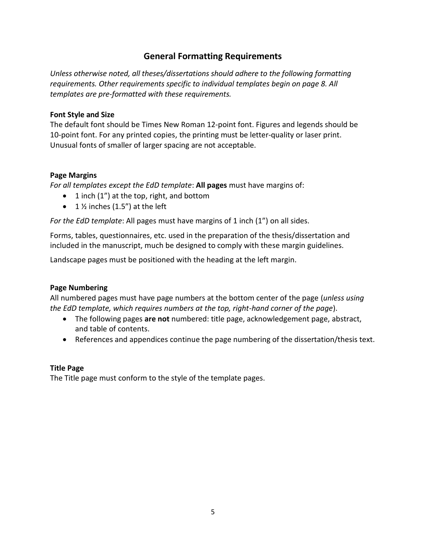## **General Formatting Requirements**

*Unless otherwise noted, all theses/dissertations should adhere to the following formatting requirements. Other requirements specific to individual templates begin on page 8. All templates are pre-formatted with these requirements.*

#### **Font Style and Size**

The default font should be Times New Roman 12-point font. Figures and legends should be 10-point font. For any printed copies, the printing must be letter-quality or laser print. Unusual fonts of smaller of larger spacing are not acceptable.

#### **Page Margins**

*For all templates except the EdD template*: **All pages** must have margins of:

- $\bullet$  1 inch (1") at the top, right, and bottom
- 1  $\frac{1}{2}$  inches (1.5") at the left

*For the EdD template*: All pages must have margins of 1 inch (1") on all sides.

Forms, tables, questionnaires, etc. used in the preparation of the thesis/dissertation and included in the manuscript, much be designed to comply with these margin guidelines.

Landscape pages must be positioned with the heading at the left margin.

#### **Page Numbering**

All numbered pages must have page numbers at the bottom center of the page (*unless using the EdD template, which requires numbers at the top, right-hand corner of the page*).

- The following pages **are not** numbered: title page, acknowledgement page, abstract, and table of contents.
- References and appendices continue the page numbering of the dissertation/thesis text.

#### **Title Page**

The Title page must conform to the style of the template pages.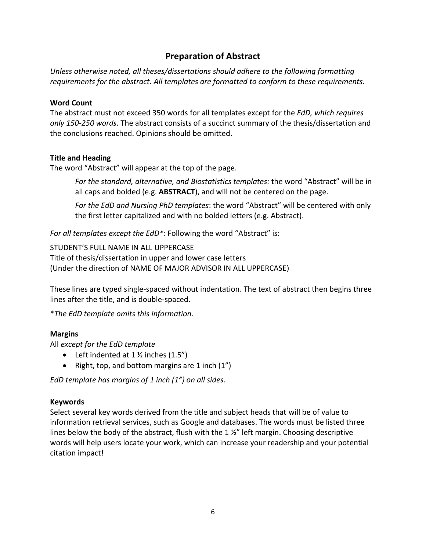## **Preparation of Abstract**

*Unless otherwise noted, all theses/dissertations should adhere to the following formatting requirements for the abstract. All templates are formatted to conform to these requirements.*

#### **Word Count**

The abstract must not exceed 350 words for all templates except for the *EdD, which requires only 150-250 words*. The abstract consists of a succinct summary of the thesis/dissertation and the conclusions reached. Opinions should be omitted.

#### **Title and Heading**

The word "Abstract" will appear at the top of the page.

*For the standard, alternative, and Biostatistics templates:* the word "Abstract" will be in all caps and bolded (e.g. **ABSTRACT**), and will not be centered on the page.

*For the EdD and Nursing PhD templates*: the word "Abstract" will be centered with only the first letter capitalized and with no bolded letters (e.g. Abstract).

*For all templates except the EdD\**: Following the word "Abstract" is:

STUDENT'S FULL NAME IN ALL UPPERCASE Title of thesis/dissertation in upper and lower case letters (Under the direction of NAME OF MAJOR ADVISOR IN ALL UPPERCASE)

These lines are typed single-spaced without indentation. The text of abstract then begins three lines after the title, and is double-spaced.

\**The EdD template omits this information*.

#### **Margins**

All *except for the EdD template*

- Left indented at  $1 \frac{1}{2}$  inches  $(1.5'')$
- Right, top, and bottom margins are 1 inch  $(1'')$

*EdD template has margins of 1 inch (1") on all sides.*

#### **Keywords**

Select several key words derived from the title and subject heads that will be of value to information retrieval services, such as Google and databases. The words must be listed three lines below the body of the abstract, flush with the 1 %" left margin. Choosing descriptive words will help users locate your work, which can increase your readership and your potential citation impact!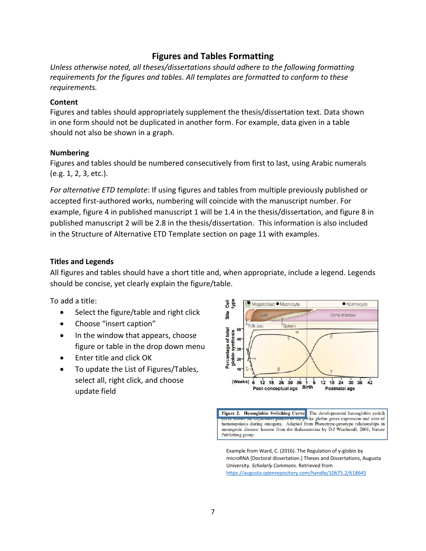## **Figures and Tables Formatting**

*Unless otherwise noted, all theses/dissertations should adhere to the following formatting requirements for the figures and tables. All templates are formatted to conform to these requirements.*

#### **Content**

Figures and tables should appropriately supplement the thesis/dissertation text. Data shown in one form should not be duplicated in another form. For example, data given in a table should not also be shown in a graph.

#### **Numbering**

Figures and tables should be numbered consecutively from first to last, using Arabic numerals (e.g. 1, 2, 3, etc.).

*For alternative ETD template*: If using figures and tables from multiple previously published or accepted first-authored works, numbering will coincide with the manuscript number. For example, figure 4 in published manuscript 1 will be 1.4 in the thesis/dissertation, and figure 8 in published manuscript 2 will be 2.8 in the thesis/dissertation. This information is also included in the Structure of Alternative ETD Template section on page 11 with examples.

#### **Titles and Legends**

All figures and tables should have a short title and, when appropriate, include a legend. Legends should be concise, yet clearly explain the figure/table.

To add a title:

- Select the figure/table and right click
- Choose "insert caption"
- In the window that appears, choose figure or table in the drop down menu
- Enter title and click OK
- To update the List of Figures/Tables, select all, right click, and choose update field



Figure 2. Hemoglobin Switching Curve. The developmental hemoglobin switch summer the expression pattern or the p like globin genes expression and sites of hematopoiesis during ontogeny. Adapted from Phenotype-genotype relationships in monogenic disease: lessons from the thalassaemias by D.J Weatherall, 2001, Nature Publishing group.

Example from Ward, C. (2016). The Regulation of y-globin by microRNA [Doctoral dissertation.] Theses and Dissertations, Augusta University. *Scholarly Commons*. Retrieved from <https://augusta.openrepository.com/handle/10675.2/618645>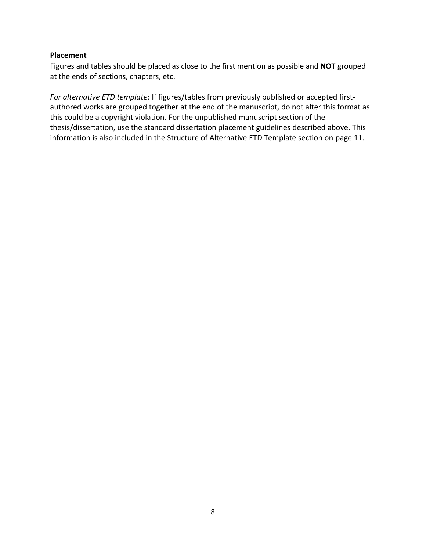#### **Placement**

Figures and tables should be placed as close to the first mention as possible and **NOT** grouped at the ends of sections, chapters, etc.

*For alternative ETD template*: If figures/tables from previously published or accepted firstauthored works are grouped together at the end of the manuscript, do not alter this format as this could be a copyright violation. For the unpublished manuscript section of the thesis/dissertation, use the standard dissertation placement guidelines described above. This information is also included in the Structure of Alternative ETD Template section on page 11.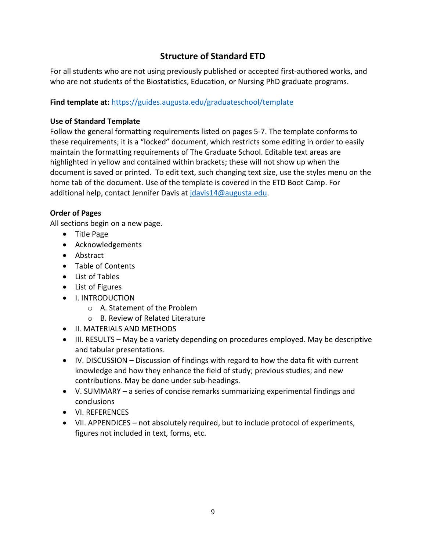## **Structure of Standard ETD**

For all students who are not using previously published or accepted first-authored works, and who are not students of the Biostatistics, Education, or Nursing PhD graduate programs.

#### **Find template at:** <https://guides.augusta.edu/graduateschool/template>

#### **Use of Standard Template**

Follow the general formatting requirements listed on pages 5-7. The template conforms to these requirements; it is a "locked" document, which restricts some editing in order to easily maintain the formatting requirements of The Graduate School. Editable text areas are highlighted in yellow and contained within brackets; these will not show up when the document is saved or printed. To edit text, such changing text size, use the styles menu on the home tab of the document. Use of the template is covered in the ETD Boot Camp. For additional help, contact Jennifer Davis at [jdavis14@augusta.edu.](mailto:jdavis14@augusta.edu)

#### **Order of Pages**

All sections begin on a new page.

- Title Page
- Acknowledgements
- Abstract
- Table of Contents
- List of Tables
- List of Figures
- **•** I. INTRODUCTION
	- o A. Statement of the Problem
	- o B. Review of Related Literature
- **II. MATERIALS AND METHODS**
- III. RESULTS May be a variety depending on procedures employed. May be descriptive and tabular presentations.
- IV. DISCUSSION Discussion of findings with regard to how the data fit with current knowledge and how they enhance the field of study; previous studies; and new contributions. May be done under sub-headings.
- V. SUMMARY a series of concise remarks summarizing experimental findings and conclusions
- VI. REFERENCES
- VII. APPENDICES not absolutely required, but to include protocol of experiments, figures not included in text, forms, etc.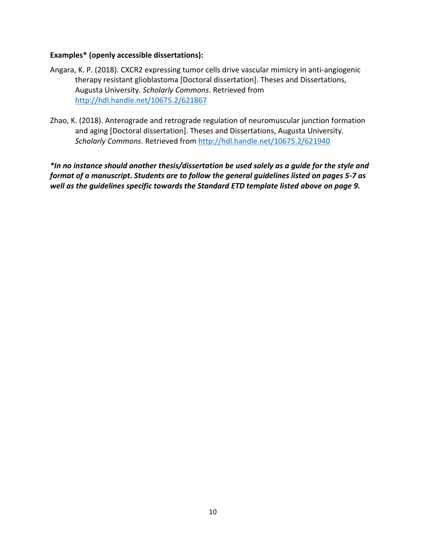#### **Examples\* (openly accessible dissertations):**

- Angara, K. P. (2018). CXCR2 expressing tumor cells drive vascular mimicry in anti-angiogenic therapy resistant glioblastoma [Doctoral dissertation]. Theses and Dissertations, Augusta University. *Scholarly Commons*. Retrieved from <http://hdl.handle.net/10675.2/621867>
- Zhao, K. (2018). Anterograde and retrograde regulation of neuromuscular junction formation and aging [Doctoral dissertation]. Theses and Dissertations, Augusta University. *Scholarly Commons*. Retrieved from<http://hdl.handle.net/10675.2/621940>

*\*In no instance should another thesis/dissertation be used solely as a guide for the style and format of a manuscript. Students are to follow the general guidelines listed on pages 5-7 as well as the guidelines specific towards the Standard ETD template listed above on page 9.*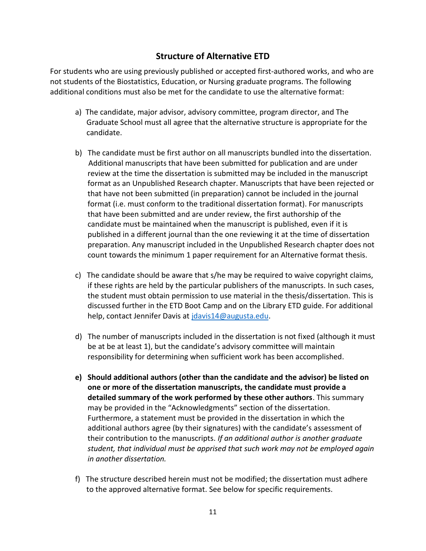## **Structure of Alternative ETD**

For students who are using previously published or accepted first-authored works, and who are not students of the Biostatistics, Education, or Nursing graduate programs. The following additional conditions must also be met for the candidate to use the alternative format:

- a) The candidate, major advisor, advisory committee, program director, and The Graduate School must all agree that the alternative structure is appropriate for the candidate.
- b) The candidate must be first author on all manuscripts bundled into the dissertation. Additional manuscripts that have been submitted for publication and are under review at the time the dissertation is submitted may be included in the manuscript format as an Unpublished Research chapter. Manuscripts that have been rejected or that have not been submitted (in preparation) cannot be included in the journal format (i.e. must conform to the traditional dissertation format). For manuscripts that have been submitted and are under review, the first authorship of the candidate must be maintained when the manuscript is published, even if it is published in a different journal than the one reviewing it at the time of dissertation preparation. Any manuscript included in the Unpublished Research chapter does not count towards the minimum 1 paper requirement for an Alternative format thesis.
- c) The candidate should be aware that s/he may be required to waive copyright claims, if these rights are held by the particular publishers of the manuscripts. In such cases, the student must obtain permission to use material in the thesis/dissertation. This is discussed further in the ETD Boot Camp and on the Library ETD guide. For additional help, contact Jennifer Davis at [jdavis14@augusta.edu.](mailto:jdavis14@augusta.edu)
- d) The number of manuscripts included in the dissertation is not fixed (although it must be at be at least 1), but the candidate's advisory committee will maintain responsibility for determining when sufficient work has been accomplished.
- **e) Should additional authors (other than the candidate and the advisor) be listed on one or more of the dissertation manuscripts, the candidate must provide a detailed summary of the work performed by these other authors**. This summary may be provided in the "Acknowledgments" section of the dissertation. Furthermore, a statement must be provided in the dissertation in which the additional authors agree (by their signatures) with the candidate's assessment of their contribution to the manuscripts. *If an additional author is another graduate student, that individual must be apprised that such work may not be employed again in another dissertation.*
- f) The structure described herein must not be modified; the dissertation must adhere to the approved alternative format. See below for specific requirements.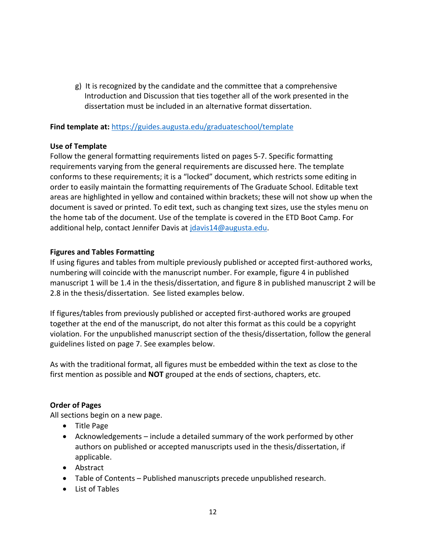g) It is recognized by the candidate and the committee that a comprehensive Introduction and Discussion that ties together all of the work presented in the dissertation must be included in an alternative format dissertation.

#### **Find template at:** <https://guides.augusta.edu/graduateschool/template>

#### **Use of Template**

Follow the general formatting requirements listed on pages 5-7. Specific formatting requirements varying from the general requirements are discussed here. The template conforms to these requirements; it is a "locked" document, which restricts some editing in order to easily maintain the formatting requirements of The Graduate School. Editable text areas are highlighted in yellow and contained within brackets; these will not show up when the document is saved or printed. To edit text, such as changing text sizes, use the styles menu on the home tab of the document. Use of the template is covered in the ETD Boot Camp. For additional help, contact Jennifer Davis at [jdavis14@augusta.edu.](mailto:jdavis14@augusta.edu)

#### **Figures and Tables Formatting**

If using figures and tables from multiple previously published or accepted first-authored works, numbering will coincide with the manuscript number. For example, figure 4 in published manuscript 1 will be 1.4 in the thesis/dissertation, and figure 8 in published manuscript 2 will be 2.8 in the thesis/dissertation. See listed examples below.

If figures/tables from previously published or accepted first-authored works are grouped together at the end of the manuscript, do not alter this format as this could be a copyright violation. For the unpublished manuscript section of the thesis/dissertation, follow the general guidelines listed on page 7. See examples below.

As with the traditional format, all figures must be embedded within the text as close to the first mention as possible and **NOT** grouped at the ends of sections, chapters, etc.

#### **Order of Pages**

All sections begin on a new page.

- Title Page
- Acknowledgements include a detailed summary of the work performed by other authors on published or accepted manuscripts used in the thesis/dissertation, if applicable.
- Abstract
- Table of Contents Published manuscripts precede unpublished research.
- List of Tables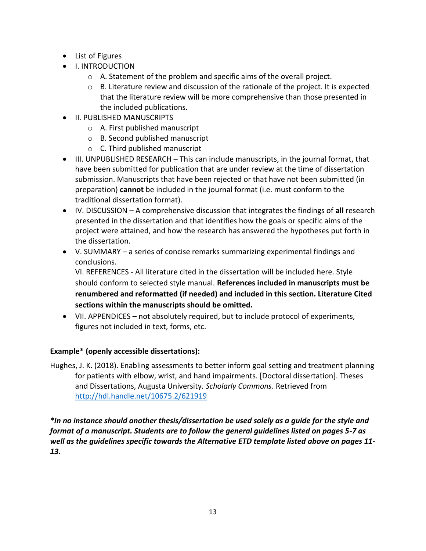- List of Figures
- **•** I. INTRODUCTION
	- o A. Statement of the problem and specific aims of the overall project.
	- $\circ$  B. Literature review and discussion of the rationale of the project. It is expected that the literature review will be more comprehensive than those presented in the included publications.
- **II. PUBLISHED MANUSCRIPTS** 
	- o A. First published manuscript
	- o B. Second published manuscript
	- o C. Third published manuscript
- III. UNPUBLISHED RESEARCH This can include manuscripts, in the journal format, that have been submitted for publication that are under review at the time of dissertation submission. Manuscripts that have been rejected or that have not been submitted (in preparation) **cannot** be included in the journal format (i.e. must conform to the traditional dissertation format).
- IV. DISCUSSION A comprehensive discussion that integrates the findings of **all** research presented in the dissertation and that identifies how the goals or specific aims of the project were attained, and how the research has answered the hypotheses put forth in the dissertation.
- V. SUMMARY a series of concise remarks summarizing experimental findings and conclusions.

VI. REFERENCES - All literature cited in the dissertation will be included here. Style should conform to selected style manual. **References included in manuscripts must be renumbered and reformatted (if needed) and included in this section. Literature Cited sections within the manuscripts should be omitted.**

 VII. APPENDICES – not absolutely required, but to include protocol of experiments, figures not included in text, forms, etc.

#### **Example\* (openly accessible dissertations):**

Hughes, J. K. (2018). Enabling assessments to better inform goal setting and treatment planning for patients with elbow, wrist, and hand impairments. [Doctoral dissertation]. Theses and Dissertations, Augusta University. *Scholarly Commons*. Retrieved from <http://hdl.handle.net/10675.2/621919>

*\*In no instance should another thesis/dissertation be used solely as a guide for the style and format of a manuscript. Students are to follow the general guidelines listed on pages 5-7 as well as the guidelines specific towards the Alternative ETD template listed above on pages 11- 13.*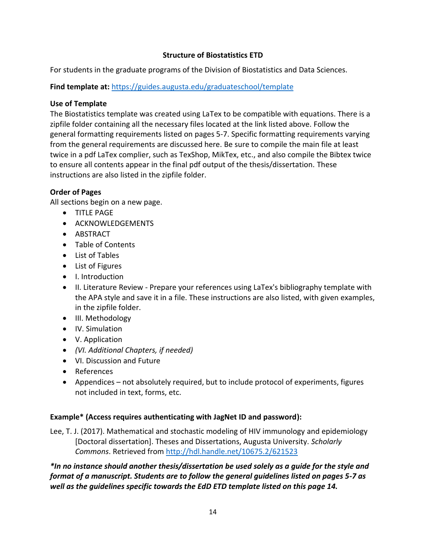#### **Structure of Biostatistics ETD**

For students in the graduate programs of the Division of Biostatistics and Data Sciences.

**Find template at:** <https://guides.augusta.edu/graduateschool/template>

## **Use of Template**

The Biostatistics template was created using LaTex to be compatible with equations. There is a zipfile folder containing all the necessary files located at the link listed above. Follow the general formatting requirements listed on pages 5-7. Specific formatting requirements varying from the general requirements are discussed here. Be sure to compile the main file at least twice in a pdf LaTex complier, such as TexShop, MikTex, etc., and also compile the Bibtex twice to ensure all contents appear in the final pdf output of the thesis/dissertation. These instructions are also listed in the zipfile folder.

## **Order of Pages**

All sections begin on a new page.

- **•** TITLE PAGE
- **ACKNOWLEDGEMENTS**
- ABSTRACT
- Table of Contents
- List of Tables
- List of Figures
- I. Introduction
- II. Literature Review Prepare your references using LaTex's bibliography template with the APA style and save it in a file. These instructions are also listed, with given examples, in the zipfile folder.
- III. Methodology
- IV. Simulation
- V. Application
- *(VI. Additional Chapters, if needed)*
- VI. Discussion and Future
- References
- Appendices not absolutely required, but to include protocol of experiments, figures not included in text, forms, etc.

## **Example\* (Access requires authenticating with JagNet ID and password):**

Lee, T. J. (2017). Mathematical and stochastic modeling of HIV immunology and epidemiology [Doctoral dissertation]. Theses and Dissertations, Augusta University. *Scholarly Commons*. Retrieved from<http://hdl.handle.net/10675.2/621523>

*\*In no instance should another thesis/dissertation be used solely as a guide for the style and format of a manuscript. Students are to follow the general guidelines listed on pages 5-7 as well as the guidelines specific towards the EdD ETD template listed on this page 14.*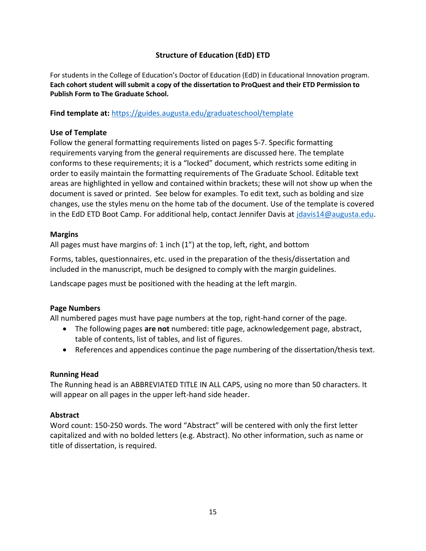#### **Structure of Education (EdD) ETD**

For students in the College of Education's Doctor of Education (EdD) in Educational Innovation program. **Each cohort student will submit a copy of the dissertation to ProQuest and their ETD Permission to Publish Form to The Graduate School.** 

**Find template at:** <https://guides.augusta.edu/graduateschool/template>

#### **Use of Template**

Follow the general formatting requirements listed on pages 5-7. Specific formatting requirements varying from the general requirements are discussed here. The template conforms to these requirements; it is a "locked" document, which restricts some editing in order to easily maintain the formatting requirements of The Graduate School. Editable text areas are highlighted in yellow and contained within brackets; these will not show up when the document is saved or printed. See below for examples. To edit text, such as bolding and size changes, use the styles menu on the home tab of the document. Use of the template is covered in the EdD ETD Boot Camp. For additional help, contact Jennifer Davis at [jdavis14@augusta.edu.](mailto:jdavis14@augusta.edu)

#### **Margins**

All pages must have margins of: 1 inch (1") at the top, left, right, and bottom

Forms, tables, questionnaires, etc. used in the preparation of the thesis/dissertation and included in the manuscript, much be designed to comply with the margin guidelines.

Landscape pages must be positioned with the heading at the left margin.

#### **Page Numbers**

All numbered pages must have page numbers at the top, right-hand corner of the page.

- The following pages **are not** numbered: title page, acknowledgement page, abstract, table of contents, list of tables, and list of figures.
- References and appendices continue the page numbering of the dissertation/thesis text.

#### **Running Head**

The Running head is an ABBREVIATED TITLE IN ALL CAPS, using no more than 50 characters. It will appear on all pages in the upper left-hand side header.

#### **Abstract**

Word count: 150-250 words. The word "Abstract" will be centered with only the first letter capitalized and with no bolded letters (e.g. Abstract). No other information, such as name or title of dissertation, is required.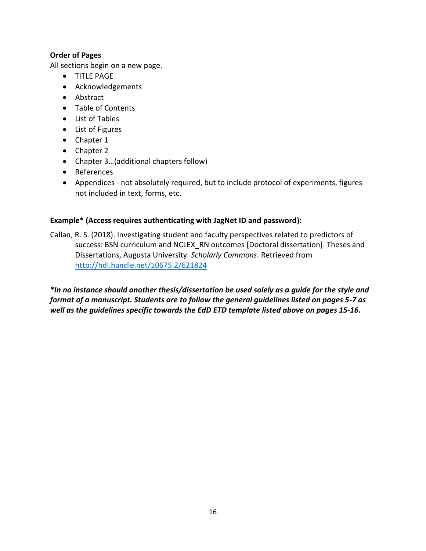#### **Order of Pages**

All sections begin on a new page.

- **•** TITLE PAGE
- Acknowledgements
- Abstract
- Table of Contents
- List of Tables
- List of Figures
- Chapter 1
- Chapter 2
- Chapter 3…(additional chapters follow)
- References
- Appendices not absolutely required, but to include protocol of experiments, figures not included in text, forms, etc.

#### **Example\* (Access requires authenticating with JagNet ID and password):**

Callan, R. S. (2018). Investigating student and faculty perspectives related to predictors of success: BSN curriculum and NCLEX\_RN outcomes [Doctoral dissertation]. Theses and Dissertations, Augusta University. *Scholarly Commons*. Retrieved from http://hdl.handle.net/10675.2/621824

*\*In no instance should another thesis/dissertation be used solely as a guide for the style and format of a manuscript. Students are to follow the general guidelines listed on pages 5-7 as well as the guidelines specific towards the EdD ETD template listed above on pages 15-16.*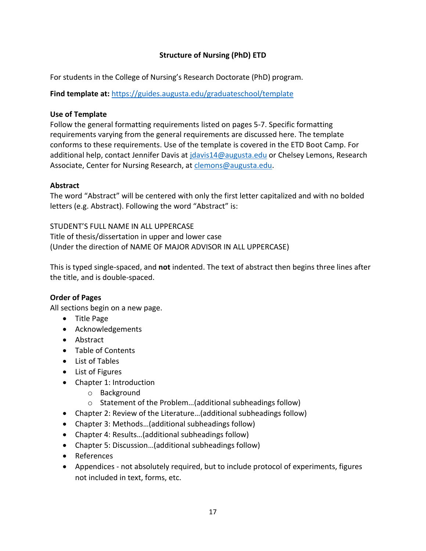#### **Structure of Nursing (PhD) ETD**

For students in the College of Nursing's Research Doctorate (PhD) program.

**Find template at:** <https://guides.augusta.edu/graduateschool/template>

#### **Use of Template**

Follow the general formatting requirements listed on pages 5-7. Specific formatting requirements varying from the general requirements are discussed here. The template conforms to these requirements. Use of the template is covered in the ETD Boot Camp. For additional help, contact Jennifer Davis at [jdavis14@augusta.edu](mailto:jdavis14@augusta.edu) or Chelsey Lemons, Research Associate, Center for Nursing Research, at [clemons@augusta.edu.](mailto:clemons@augusta.edu)

#### **Abstract**

The word "Abstract" will be centered with only the first letter capitalized and with no bolded letters (e.g. Abstract). Following the word "Abstract" is:

STUDENT'S FULL NAME IN ALL UPPERCASE Title of thesis/dissertation in upper and lower case (Under the direction of NAME OF MAJOR ADVISOR IN ALL UPPERCASE)

This is typed single-spaced, and **not** indented. The text of abstract then begins three lines after the title, and is double-spaced.

## **Order of Pages**

All sections begin on a new page.

- Title Page
- Acknowledgements
- Abstract
- Table of Contents
- List of Tables
- List of Figures
- Chapter 1: Introduction
	- o Background
	- o Statement of the Problem…(additional subheadings follow)
- Chapter 2: Review of the Literature…(additional subheadings follow)
- Chapter 3: Methods…(additional subheadings follow)
- Chapter 4: Results…(additional subheadings follow)
- Chapter 5: Discussion…(additional subheadings follow)
- References
- Appendices not absolutely required, but to include protocol of experiments, figures not included in text, forms, etc.